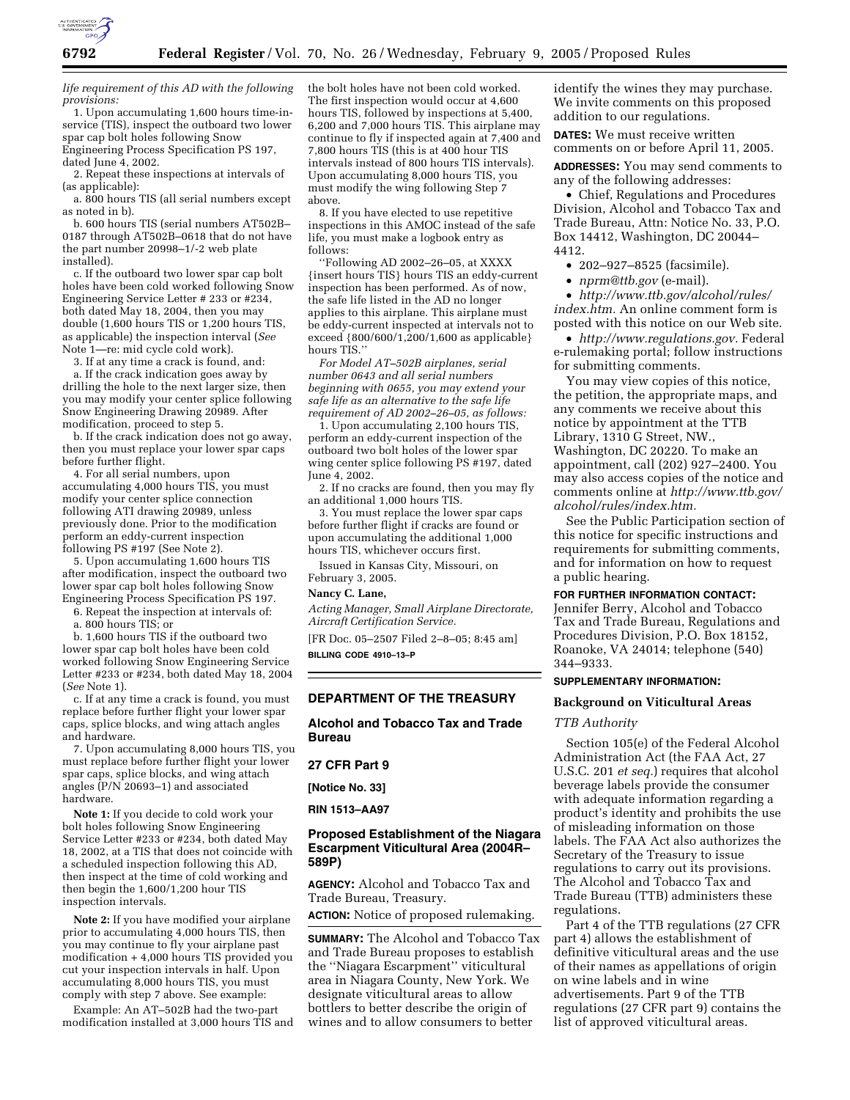

*life requirement of this AD with the following provisions:*

1. Upon accumulating 1,600 hours time-inservice (TIS), inspect the outboard two lower spar cap bolt holes following Snow Engineering Process Specification PS 197, dated June 4, 2002.

2. Repeat these inspections at intervals of (as applicable):

a. 800 hours TIS (all serial numbers except as noted in b).

b. 600 hours TIS (serial numbers AT502B– 0187 through AT502B–0618 that do not have the part number 20998–1/-2 web plate installed).

c. If the outboard two lower spar cap bolt holes have been cold worked following Snow Engineering Service Letter # 233 or #234, both dated May 18, 2004, then you may double (1,600 hours TIS or 1,200 hours TIS, as applicable) the inspection interval (*See* Note 1—re: mid cycle cold work).

3. If at any time a crack is found, and: a. If the crack indication goes away by drilling the hole to the next larger size, then you may modify your center splice following Snow Engineering Drawing 20989. After modification, proceed to step 5.

b. If the crack indication does not go away, then you must replace your lower spar caps before further flight.

4. For all serial numbers, upon accumulating 4,000 hours TIS, you must modify your center splice connection following ATI drawing 20989, unless previously done. Prior to the modification perform an eddy-current inspection following PS #197 (See Note 2).

5. Upon accumulating 1,600 hours TIS after modification, inspect the outboard two lower spar cap bolt holes following Snow Engineering Process Specification PS 197.

6. Repeat the inspection at intervals of:

a. 800 hours TIS; or

b. 1,600 hours TIS if the outboard two lower spar cap bolt holes have been cold worked following Snow Engineering Service Letter #233 or #234, both dated May 18, 2004 (*See* Note 1).

c. If at any time a crack is found, you must replace before further flight your lower spar caps, splice blocks, and wing attach angles and hardware.

7. Upon accumulating 8,000 hours TIS, you must replace before further flight your lower spar caps, splice blocks, and wing attach angles (P/N 20693–1) and associated hardware.

**Note 1:** If you decide to cold work your bolt holes following Snow Engineering Service Letter #233 or #234, both dated May 18, 2002, at a TIS that does not coincide with a scheduled inspection following this AD, then inspect at the time of cold working and then begin the 1,600/1,200 hour TIS inspection intervals.

**Note 2:** If you have modified your airplane prior to accumulating 4,000 hours TIS, then you may continue to fly your airplane past modification + 4,000 hours TIS provided you cut your inspection intervals in half. Upon accumulating 8,000 hours TIS, you must comply with step 7 above. See example:

Example: An AT–502B had the two-part modification installed at 3,000 hours TIS and the bolt holes have not been cold worked. The first inspection would occur at 4,600 hours TIS, followed by inspections at 5,400, 6,200 and 7,000 hours TIS. This airplane may continue to fly if inspected again at 7,400 and 7,800 hours TIS (this is at 400 hour TIS intervals instead of 800 hours TIS intervals). Upon accumulating 8,000 hours TIS, you must modify the wing following Step 7 above.

8. If you have elected to use repetitive inspections in this AMOC instead of the safe life, you must make a logbook entry as follows:

''Following AD 2002–26–05, at XXXX {insert hours TIS} hours TIS an eddy-current inspection has been performed. As of now, the safe life listed in the AD no longer applies to this airplane. This airplane must be eddy-current inspected at intervals not to exceed  ${800/600/1,200/1,600}$  as applicable} hours TIS.''

*For Model AT–502B airplanes, serial number 0643 and all serial numbers beginning with 0655, you may extend your safe life as an alternative to the safe life requirement of AD 2002–26–05, as follows:*

1. Upon accumulating 2,100 hours TIS, perform an eddy-current inspection of the outboard two bolt holes of the lower spar wing center splice following PS #197, dated June 4, 2002.

2. If no cracks are found, then you may fly an additional 1,000 hours TIS.

3. You must replace the lower spar caps before further flight if cracks are found or upon accumulating the additional 1,000 hours TIS, whichever occurs first.

Issued in Kansas City, Missouri, on February 3, 2005.

# **Nancy C. Lane,**

*Acting Manager, Small Airplane Directorate, Aircraft Certification Service.*

[FR Doc. 05–2507 Filed 2–8–05; 8:45 am] **BILLING CODE 4910–13–P**

# **DEPARTMENT OF THE TREASURY**

**Alcohol and Tobacco Tax and Trade Bureau** 

### **27 CFR Part 9**

**[Notice No. 33]** 

# **RIN 1513–AA97**

# **Proposed Establishment of the Niagara Escarpment Viticultural Area (2004R– 589P)**

**AGENCY:** Alcohol and Tobacco Tax and Trade Bureau, Treasury.

**ACTION:** Notice of proposed rulemaking.

**SUMMARY:** The Alcohol and Tobacco Tax and Trade Bureau proposes to establish the ''Niagara Escarpment'' viticultural area in Niagara County, New York. We designate viticultural areas to allow bottlers to better describe the origin of wines and to allow consumers to better

identify the wines they may purchase. We invite comments on this proposed addition to our regulations.

**DATES:** We must receive written comments on or before April 11, 2005.

**ADDRESSES:** You may send comments to any of the following addresses:

• Chief, Regulations and Procedures Division, Alcohol and Tobacco Tax and Trade Bureau, Attn: Notice No. 33, P.O. Box 14412, Washington, DC 20044– 4412.

• 202–927–8525 (facsimile).

• *nprm@ttb.gov* (e-mail).

• *http://www.ttb.gov/alcohol/rules/ index.htm.* An online comment form is posted with this notice on our Web site.

• *http://www.regulations.gov.* Federal e-rulemaking portal; follow instructions for submitting comments.

You may view copies of this notice, the petition, the appropriate maps, and any comments we receive about this notice by appointment at the TTB Library, 1310 G Street, NW., Washington, DC 20220. To make an appointment, call (202) 927–2400. You may also access copies of the notice and comments online at *http://www.ttb.gov/ alcohol/rules/index.htm.*

See the Public Participation section of this notice for specific instructions and requirements for submitting comments, and for information on how to request a public hearing.

**FOR FURTHER INFORMATION CONTACT:**

Jennifer Berry, Alcohol and Tobacco Tax and Trade Bureau, Regulations and Procedures Division, P.O. Box 18152, Roanoke, VA 24014; telephone (540) 344–9333.

# **SUPPLEMENTARY INFORMATION:**

### **Background on Viticultural Areas**

## *TTB Authority*

Section 105(e) of the Federal Alcohol Administration Act (the FAA Act, 27 U.S.C. 201 *et seq.*) requires that alcohol beverage labels provide the consumer with adequate information regarding a product's identity and prohibits the use of misleading information on those labels. The FAA Act also authorizes the Secretary of the Treasury to issue regulations to carry out its provisions. The Alcohol and Tobacco Tax and Trade Bureau (TTB) administers these regulations.

Part 4 of the TTB regulations (27 CFR part 4) allows the establishment of definitive viticultural areas and the use of their names as appellations of origin on wine labels and in wine advertisements. Part 9 of the TTB regulations (27 CFR part 9) contains the list of approved viticultural areas.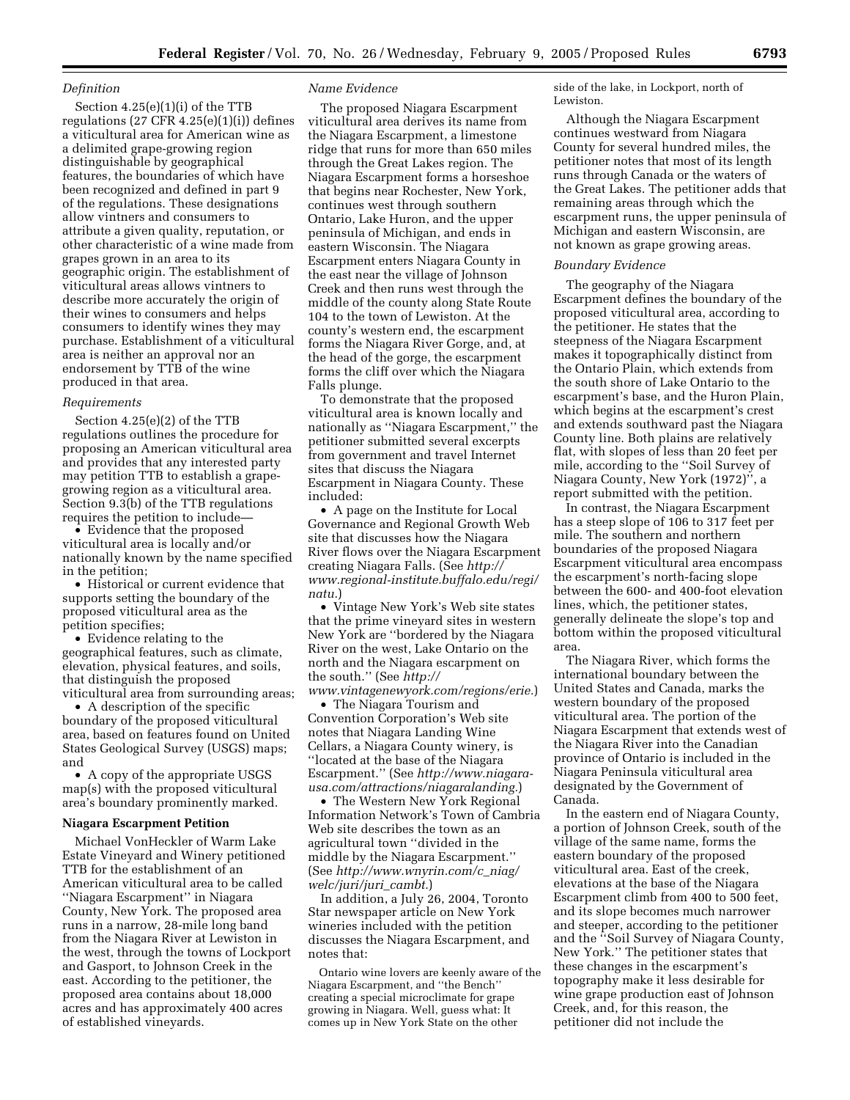# *Definition*

Section 4.25(e)(1)(i) of the TTB regulations  $(27 \text{ CFR } 4.25(e)(1)(i))$  defines a viticultural area for American wine as a delimited grape-growing region distinguishable by geographical features, the boundaries of which have been recognized and defined in part 9 of the regulations. These designations allow vintners and consumers to attribute a given quality, reputation, or other characteristic of a wine made from grapes grown in an area to its geographic origin. The establishment of viticultural areas allows vintners to describe more accurately the origin of their wines to consumers and helps consumers to identify wines they may purchase. Establishment of a viticultural area is neither an approval nor an endorsement by TTB of the wine produced in that area.

## *Requirements*

Section 4.25(e)(2) of the TTB regulations outlines the procedure for proposing an American viticultural area and provides that any interested party may petition TTB to establish a grapegrowing region as a viticultural area. Section 9.3(b) of the TTB regulations requires the petition to include—

• Evidence that the proposed viticultural area is locally and/or nationally known by the name specified in the petition;

• Historical or current evidence that supports setting the boundary of the proposed viticultural area as the petition specifies;

• Evidence relating to the geographical features, such as climate, elevation, physical features, and soils, that distinguish the proposed viticultural area from surrounding areas;

• A description of the specific boundary of the proposed viticultural area, based on features found on United States Geological Survey (USGS) maps; and

• A copy of the appropriate USGS map(s) with the proposed viticultural area's boundary prominently marked.

#### **Niagara Escarpment Petition**

Michael VonHeckler of Warm Lake Estate Vineyard and Winery petitioned TTB for the establishment of an American viticultural area to be called ''Niagara Escarpment'' in Niagara County, New York. The proposed area runs in a narrow, 28-mile long band from the Niagara River at Lewiston in the west, through the towns of Lockport and Gasport, to Johnson Creek in the east. According to the petitioner, the proposed area contains about 18,000 acres and has approximately 400 acres of established vineyards.

### *Name Evidence*

The proposed Niagara Escarpment viticultural area derives its name from the Niagara Escarpment, a limestone ridge that runs for more than 650 miles through the Great Lakes region. The Niagara Escarpment forms a horseshoe that begins near Rochester, New York, continues west through southern Ontario, Lake Huron, and the upper peninsula of Michigan, and ends in eastern Wisconsin. The Niagara Escarpment enters Niagara County in the east near the village of Johnson Creek and then runs west through the middle of the county along State Route 104 to the town of Lewiston. At the county's western end, the escarpment forms the Niagara River Gorge, and, at the head of the gorge, the escarpment forms the cliff over which the Niagara Falls plunge.

To demonstrate that the proposed viticultural area is known locally and nationally as ''Niagara Escarpment,'' the petitioner submitted several excerpts from government and travel Internet sites that discuss the Niagara Escarpment in Niagara County. These included:

• A page on the Institute for Local Governance and Regional Growth Web site that discusses how the Niagara River flows over the Niagara Escarpment creating Niagara Falls. (See *http:// www.regional-institute.buffalo.edu/regi/ natu.*)

• Vintage New York's Web site states that the prime vineyard sites in western New York are ''bordered by the Niagara River on the west, Lake Ontario on the north and the Niagara escarpment on the south.'' (See *http://*

*www.vintagenewyork.com/regions/erie.*) • The Niagara Tourism and Convention Corporation's Web site notes that Niagara Landing Wine Cellars, a Niagara County winery, is ''located at the base of the Niagara Escarpment.'' (See *http://www.niagarausa.com/attractions/niagaralanding.*)

• The Western New York Regional Information Network's Town of Cambria Web site describes the town as an agricultural town ''divided in the middle by the Niagara Escarpment.'' (See *http://www.wnyrin.com/c*\_*niag/ welc/juri/juri*\_*cambt.*)

In addition, a July 26, 2004, Toronto Star newspaper article on New York wineries included with the petition discusses the Niagara Escarpment, and notes that:

Ontario wine lovers are keenly aware of the Niagara Escarpment, and ''the Bench'' creating a special microclimate for grape growing in Niagara. Well, guess what: It comes up in New York State on the other

side of the lake, in Lockport, north of Lewiston.

Although the Niagara Escarpment continues westward from Niagara County for several hundred miles, the petitioner notes that most of its length runs through Canada or the waters of the Great Lakes. The petitioner adds that remaining areas through which the escarpment runs, the upper peninsula of Michigan and eastern Wisconsin, are not known as grape growing areas.

#### *Boundary Evidence*

The geography of the Niagara Escarpment defines the boundary of the proposed viticultural area, according to the petitioner. He states that the steepness of the Niagara Escarpment makes it topographically distinct from the Ontario Plain, which extends from the south shore of Lake Ontario to the escarpment's base, and the Huron Plain, which begins at the escarpment's crest and extends southward past the Niagara County line. Both plains are relatively flat, with slopes of less than 20 feet per mile, according to the ''Soil Survey of Niagara County, New York (1972)'', a report submitted with the petition.

In contrast, the Niagara Escarpment has a steep slope of 106 to 317 feet per mile. The southern and northern boundaries of the proposed Niagara Escarpment viticultural area encompass the escarpment's north-facing slope between the 600- and 400-foot elevation lines, which, the petitioner states, generally delineate the slope's top and bottom within the proposed viticultural area.

The Niagara River, which forms the international boundary between the United States and Canada, marks the western boundary of the proposed viticultural area. The portion of the Niagara Escarpment that extends west of the Niagara River into the Canadian province of Ontario is included in the Niagara Peninsula viticultural area designated by the Government of Canada.

In the eastern end of Niagara County, a portion of Johnson Creek, south of the village of the same name, forms the eastern boundary of the proposed viticultural area. East of the creek, elevations at the base of the Niagara Escarpment climb from 400 to 500 feet, and its slope becomes much narrower and steeper, according to the petitioner and the ''Soil Survey of Niagara County, New York.'' The petitioner states that these changes in the escarpment's topography make it less desirable for wine grape production east of Johnson Creek, and, for this reason, the petitioner did not include the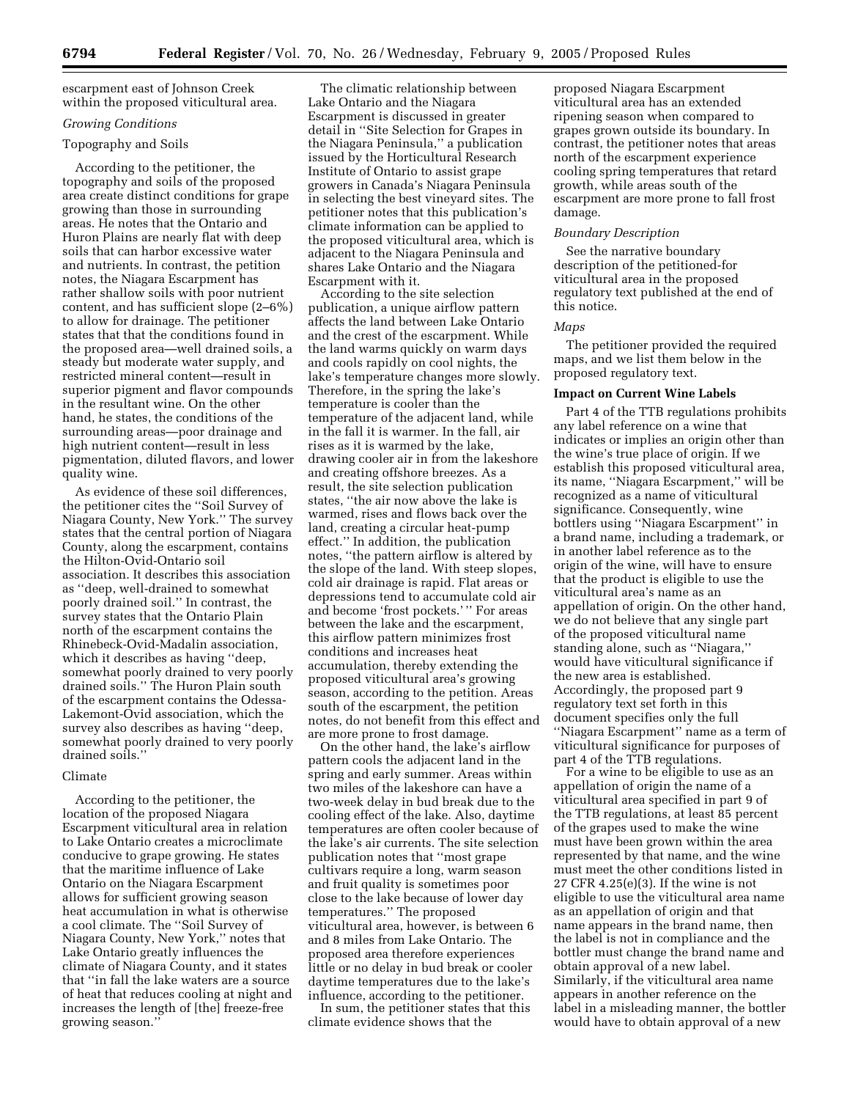escarpment east of Johnson Creek within the proposed viticultural area.

# *Growing Conditions*

# Topography and Soils

According to the petitioner, the topography and soils of the proposed area create distinct conditions for grape growing than those in surrounding areas. He notes that the Ontario and Huron Plains are nearly flat with deep soils that can harbor excessive water and nutrients. In contrast, the petition notes, the Niagara Escarpment has rather shallow soils with poor nutrient content, and has sufficient slope (2–6%) to allow for drainage. The petitioner states that that the conditions found in the proposed area—well drained soils, a steady but moderate water supply, and restricted mineral content—result in superior pigment and flavor compounds in the resultant wine. On the other hand, he states, the conditions of the surrounding areas—poor drainage and high nutrient content—result in less pigmentation, diluted flavors, and lower quality wine.

As evidence of these soil differences, the petitioner cites the ''Soil Survey of Niagara County, New York.'' The survey states that the central portion of Niagara County, along the escarpment, contains the Hilton-Ovid-Ontario soil association. It describes this association as ''deep, well-drained to somewhat poorly drained soil.'' In contrast, the survey states that the Ontario Plain north of the escarpment contains the Rhinebeck-Ovid-Madalin association, which it describes as having ''deep, somewhat poorly drained to very poorly drained soils.'' The Huron Plain south of the escarpment contains the Odessa-Lakemont-Ovid association, which the survey also describes as having ''deep, somewhat poorly drained to very poorly drained soils.''

# Climate

According to the petitioner, the location of the proposed Niagara Escarpment viticultural area in relation to Lake Ontario creates a microclimate conducive to grape growing. He states that the maritime influence of Lake Ontario on the Niagara Escarpment allows for sufficient growing season heat accumulation in what is otherwise a cool climate. The ''Soil Survey of Niagara County, New York,'' notes that Lake Ontario greatly influences the climate of Niagara County, and it states that ''in fall the lake waters are a source of heat that reduces cooling at night and increases the length of [the] freeze-free growing season.''

The climatic relationship between Lake Ontario and the Niagara Escarpment is discussed in greater detail in ''Site Selection for Grapes in the Niagara Peninsula,'' a publication issued by the Horticultural Research Institute of Ontario to assist grape growers in Canada's Niagara Peninsula in selecting the best vineyard sites. The petitioner notes that this publication's climate information can be applied to the proposed viticultural area, which is adjacent to the Niagara Peninsula and shares Lake Ontario and the Niagara Escarpment with it.

According to the site selection publication, a unique airflow pattern affects the land between Lake Ontario and the crest of the escarpment. While the land warms quickly on warm days and cools rapidly on cool nights, the lake's temperature changes more slowly. Therefore, in the spring the lake's temperature is cooler than the temperature of the adjacent land, while in the fall it is warmer. In the fall, air rises as it is warmed by the lake, drawing cooler air in from the lakeshore and creating offshore breezes. As a result, the site selection publication states, ''the air now above the lake is warmed, rises and flows back over the land, creating a circular heat-pump effect.'' In addition, the publication notes, ''the pattern airflow is altered by the slope of the land. With steep slopes, cold air drainage is rapid. Flat areas or depressions tend to accumulate cold air and become 'frost pockets.' '' For areas between the lake and the escarpment, this airflow pattern minimizes frost conditions and increases heat accumulation, thereby extending the proposed viticultural area's growing season, according to the petition. Areas south of the escarpment, the petition notes, do not benefit from this effect and are more prone to frost damage.

On the other hand, the lake's airflow pattern cools the adjacent land in the spring and early summer. Areas within two miles of the lakeshore can have a two-week delay in bud break due to the cooling effect of the lake. Also, daytime temperatures are often cooler because of the lake's air currents. The site selection publication notes that ''most grape cultivars require a long, warm season and fruit quality is sometimes poor close to the lake because of lower day temperatures.'' The proposed viticultural area, however, is between 6 and 8 miles from Lake Ontario. The proposed area therefore experiences little or no delay in bud break or cooler daytime temperatures due to the lake's influence, according to the petitioner.

In sum, the petitioner states that this climate evidence shows that the

proposed Niagara Escarpment viticultural area has an extended ripening season when compared to grapes grown outside its boundary. In contrast, the petitioner notes that areas north of the escarpment experience cooling spring temperatures that retard growth, while areas south of the escarpment are more prone to fall frost damage.

## *Boundary Description*

See the narrative boundary description of the petitioned-for viticultural area in the proposed regulatory text published at the end of this notice.

### *Maps*

The petitioner provided the required maps, and we list them below in the proposed regulatory text.

#### **Impact on Current Wine Labels**

Part 4 of the TTB regulations prohibits any label reference on a wine that indicates or implies an origin other than the wine's true place of origin. If we establish this proposed viticultural area, its name, ''Niagara Escarpment,'' will be recognized as a name of viticultural significance. Consequently, wine bottlers using ''Niagara Escarpment'' in a brand name, including a trademark, or in another label reference as to the origin of the wine, will have to ensure that the product is eligible to use the viticultural area's name as an appellation of origin. On the other hand, we do not believe that any single part of the proposed viticultural name standing alone, such as ''Niagara,'' would have viticultural significance if the new area is established. Accordingly, the proposed part 9 regulatory text set forth in this document specifies only the full ''Niagara Escarpment'' name as a term of viticultural significance for purposes of part 4 of the TTB regulations.

For a wine to be eligible to use as an appellation of origin the name of a viticultural area specified in part 9 of the TTB regulations, at least 85 percent of the grapes used to make the wine must have been grown within the area represented by that name, and the wine must meet the other conditions listed in 27 CFR 4.25(e)(3). If the wine is not eligible to use the viticultural area name as an appellation of origin and that name appears in the brand name, then the label is not in compliance and the bottler must change the brand name and obtain approval of a new label. Similarly, if the viticultural area name appears in another reference on the label in a misleading manner, the bottler would have to obtain approval of a new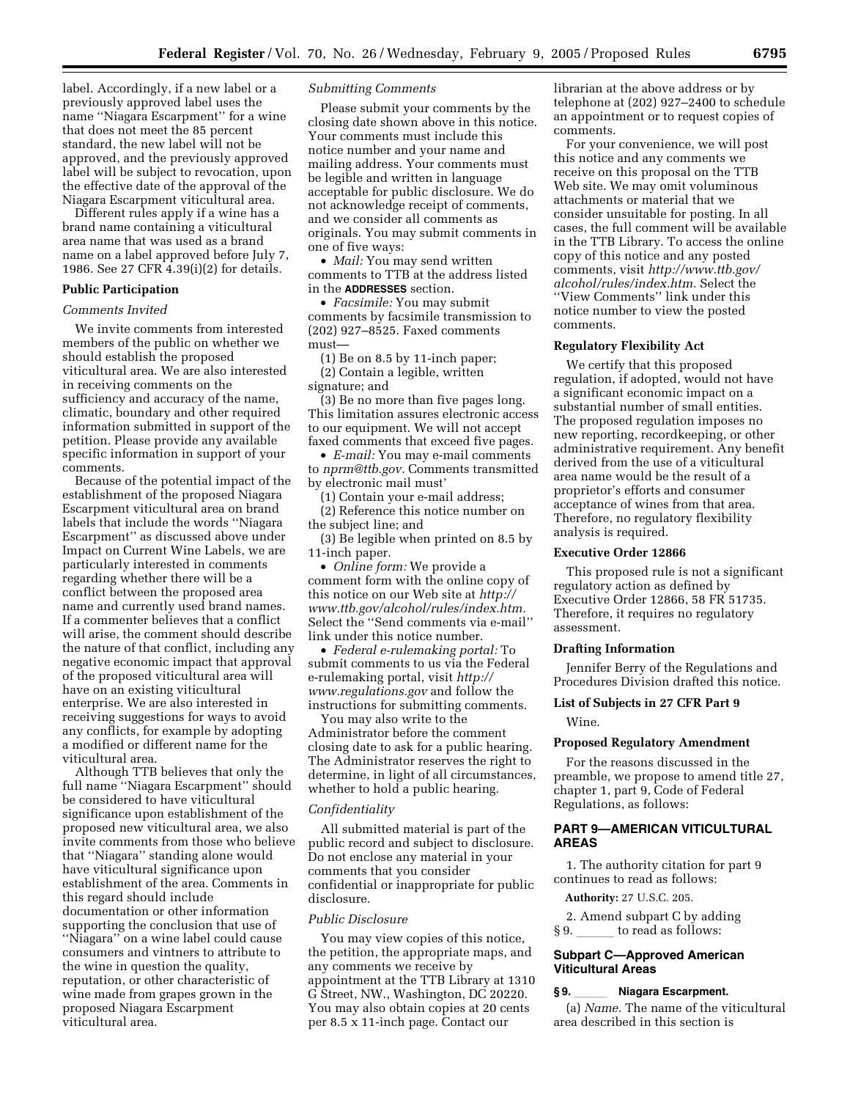label. Accordingly, if a new label or a previously approved label uses the name ''Niagara Escarpment'' for a wine that does not meet the 85 percent standard, the new label will not be approved, and the previously approved label will be subject to revocation, upon the effective date of the approval of the Niagara Escarpment viticultural area.

Different rules apply if a wine has a brand name containing a viticultural area name that was used as a brand name on a label approved before July 7, 1986. See 27 CFR 4.39(i)(2) for details.

# **Public Participation**

# *Comments Invited*

We invite comments from interested members of the public on whether we should establish the proposed viticultural area. We are also interested in receiving comments on the sufficiency and accuracy of the name, climatic, boundary and other required information submitted in support of the petition. Please provide any available specific information in support of your comments.

Because of the potential impact of the establishment of the proposed Niagara Escarpment viticultural area on brand labels that include the words ''Niagara Escarpment'' as discussed above under Impact on Current Wine Labels, we are particularly interested in comments regarding whether there will be a conflict between the proposed area name and currently used brand names. If a commenter believes that a conflict will arise, the comment should describe the nature of that conflict, including any negative economic impact that approval of the proposed viticultural area will have on an existing viticultural enterprise. We are also interested in receiving suggestions for ways to avoid any conflicts, for example by adopting a modified or different name for the viticultural area.

Although TTB believes that only the full name ''Niagara Escarpment'' should be considered to have viticultural significance upon establishment of the proposed new viticultural area, we also invite comments from those who believe that ''Niagara'' standing alone would have viticultural significance upon establishment of the area. Comments in this regard should include documentation or other information supporting the conclusion that use of ''Niagara'' on a wine label could cause consumers and vintners to attribute to the wine in question the quality, reputation, or other characteristic of wine made from grapes grown in the proposed Niagara Escarpment viticultural area.

# *Submitting Comments*

Please submit your comments by the closing date shown above in this notice. Your comments must include this notice number and your name and mailing address. Your comments must be legible and written in language acceptable for public disclosure. We do not acknowledge receipt of comments, and we consider all comments as originals. You may submit comments in one of five ways:

• *Mail:* You may send written comments to TTB at the address listed in the **ADDRESSES** section.

• *Facsimile:* You may submit comments by facsimile transmission to (202) 927–8525. Faxed comments must—

(1) Be on 8.5 by 11-inch paper; (2) Contain a legible, written signature; and

(3) Be no more than five pages long. This limitation assures electronic access to our equipment. We will not accept faxed comments that exceed five pages.

• *E-mail:* You may e-mail comments to *nprm@ttb.gov.* Comments transmitted by electronic mail must'

(1) Contain your e-mail address;

(2) Reference this notice number on the subject line; and

(3) Be legible when printed on 8.5 by 11-inch paper.

• *Online form:* We provide a comment form with the online copy of this notice on our Web site at *http:// www.ttb.gov/alcohol/rules/index.htm.* Select the ''Send comments via e-mail'' link under this notice number.

• *Federal e-rulemaking portal:* To submit comments to us via the Federal e-rulemaking portal, visit *http:// www.regulations.gov* and follow the instructions for submitting comments.

You may also write to the Administrator before the comment closing date to ask for a public hearing. The Administrator reserves the right to determine, in light of all circumstances, whether to hold a public hearing.

## *Confidentiality*

All submitted material is part of the public record and subject to disclosure. Do not enclose any material in your comments that you consider confidential or inappropriate for public disclosure.

### *Public Disclosure*

You may view copies of this notice, the petition, the appropriate maps, and any comments we receive by appointment at the TTB Library at 1310 G Street, NW., Washington, DC 20220. You may also obtain copies at 20 cents per 8.5 x 11-inch page. Contact our

librarian at the above address or by telephone at (202) 927–2400 to schedule an appointment or to request copies of comments.

For your convenience, we will post this notice and any comments we receive on this proposal on the TTB Web site. We may omit voluminous attachments or material that we consider unsuitable for posting. In all cases, the full comment will be available in the TTB Library. To access the online copy of this notice and any posted comments, visit *http://www.ttb.gov/ alcohol/rules/index.htm.* Select the ''View Comments'' link under this notice number to view the posted comments.

## **Regulatory Flexibility Act**

We certify that this proposed regulation, if adopted, would not have a significant economic impact on a substantial number of small entities. The proposed regulation imposes no new reporting, recordkeeping, or other administrative requirement. Any benefit derived from the use of a viticultural area name would be the result of a proprietor's efforts and consumer acceptance of wines from that area. Therefore, no regulatory flexibility analysis is required.

## **Executive Order 12866**

This proposed rule is not a significant regulatory action as defined by Executive Order 12866, 58 FR 51735. Therefore, it requires no regulatory assessment.

### **Drafting Information**

Jennifer Berry of the Regulations and Procedures Division drafted this notice.

# **List of Subjects in 27 CFR Part 9**

Wine.

#### **Proposed Regulatory Amendment**

For the reasons discussed in the preamble, we propose to amend title 27, chapter 1, part 9, Code of Federal Regulations, as follows:

## **PART 9—AMERICAN VITICULTURAL AREAS**

1. The authority citation for part 9 continues to read as follows:

**Authority:** 27 U.S.C. 205.

2. Amend subpart C by adding § 9. section to read as follows:

# **Subpart C—Approved American Viticultural Areas**

### § 9. **Niagara Escarpment.**

(a) *Name.* The name of the viticultural area described in this section is